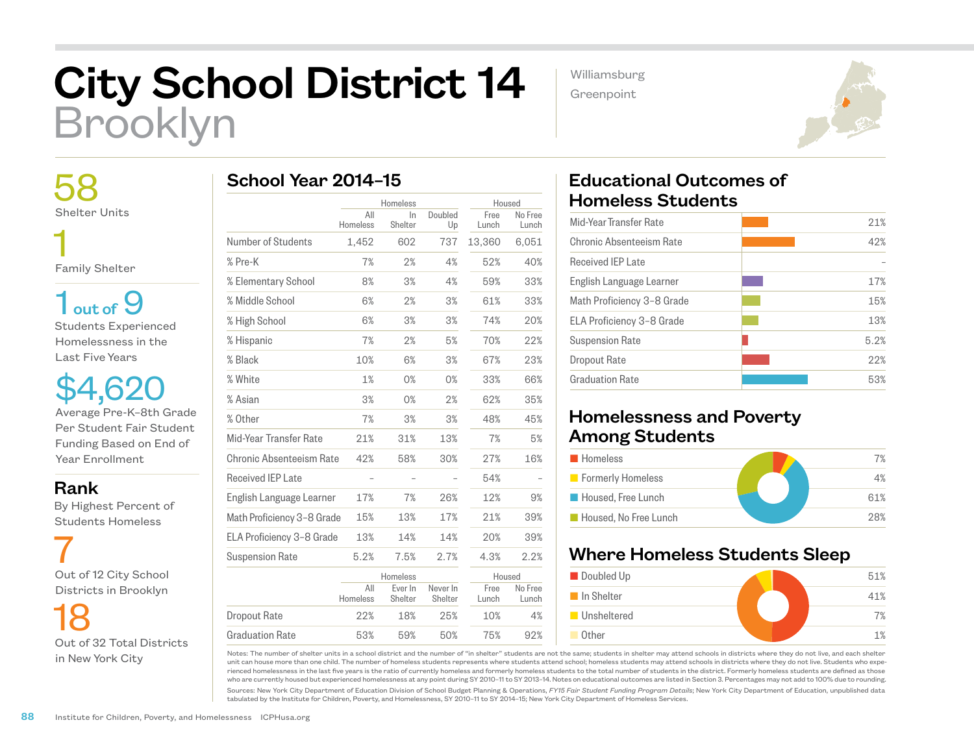# City School District 14 Brooklyn

School Year 2014–15

Williamsburg Greenpoint



 58 Shelter Units 1

Family Shelter

 $1<sub>out of</sub> 9$ Students Experienced Homelessness in the Last Five Years

\$4,620 Average Pre-K–8th Grade Per Student Fair Student Funding Based on End of Year Enrollment

#### Rank

 By Highest Percent of Students Homeless

 7 Out of 12 City School Districts in Brooklyn

 18 Out of 32 Total Districts in New York City

|                            | Homeless        |                    | Housed              |               |                  |
|----------------------------|-----------------|--------------------|---------------------|---------------|------------------|
|                            | All<br>Homeless | In.<br>Shelter     | Doubled<br>Up       | Free<br>Lunch | No Free<br>Lunch |
| Number of Students         | 1,452           | 602                | 737                 | 13,360        | 6,051            |
| % Pre-K                    | 7%              | 2%                 | 4%                  | 52%           | 40%              |
| % Elementary School        | 8%              | 3%                 | 4%                  | 59%           | 33%              |
| % Middle School            | 6%              | 2%                 | 3%                  | 61%           | 33%              |
| % High School              | 6%              | 3%                 | 3%                  | 74%           | 20%              |
| % Hispanic                 | 7%              | 2%                 | 5%                  | 70%           | 22%              |
| % Black                    | 10%             | 6%                 | 3%                  | 67%           | 23%              |
| % White                    | 1%              | 0%                 | 0%                  | 33%           | 66%              |
| % Asian                    | 3%              | 0%                 | 2%                  | 62%           | 35%              |
| % Other                    | 7%              | 3%                 | 3%                  | 48%           | 45%              |
| Mid-Year Transfer Rate     | 21%             | 31%                | 13%                 | 7%            | 5%               |
| Chronic Absenteeism Rate   | 42%             | 58%                | 30%                 | 27%           | 16%              |
| Received IEP Late          |                 |                    |                     | 54%           |                  |
| English Language Learner   | 17%             | 7%                 | 26%                 | 12%           | 9%               |
| Math Proficiency 3-8 Grade | 15%             | 13%                | 17%                 | 21%           | 39%              |
| ELA Proficiency 3-8 Grade  | 13%             | 14%                | 14%                 | 20%           | 39%              |
| <b>Suspension Rate</b>     | 5.2%            | 7.5%               | 2.7%                | 4.3%          | 2.2%             |
|                            |                 | Homeless           |                     | Housed        |                  |
|                            | All<br>Homeless | Ever In<br>Shelter | Never In<br>Shelter | Free<br>Lunch | No Free<br>Lunch |
| <b>Dropout Rate</b>        | 22%             | 18%                | 25%                 | 10%           | 4%               |
| <b>Graduation Rate</b>     | 53%             | 59%                | 50%                 | 75%           | 92%              |

## Educational Outcomes of Homeless Students

| 21%  |
|------|
| 42%  |
|      |
| 17%  |
| 15%  |
| 13%  |
| 5.2% |
| 22%  |
| 53%  |
|      |

## Homelessness and Poverty Among Students

| <b>Homeless</b>       | 7%  |
|-----------------------|-----|
| Formerly Homeless     | 4%  |
| Housed, Free Lunch    | 61% |
| Housed. No Free Lunch | 28% |

## Where Homeless Students Sleep



Notes: The number of shelter units in a school district and the number of "in shelter" students are not the same; students in shelter may attend schools in districts where they do not live, and each shelter unit can house more than one child. The number of homeless students represents where students attend school; homeless students may attend schools in districts where they do not live. Students who experienced homelessness in the last five years is the ratio of currently homeless and formerly homeless students to the total number of students in the district. Formerly homeless students are defined as those who are currently housed but experienced homelessness at any point during SY 2010–11 to SY 2013–14. Notes on educational outcomes are listed in Section 3. Percentages may not add to 100% due to rounding.

Sources: New York City Department of Education Division of School Budget Planning & Operations, *FY15 Fair Student Funding Program Details*; New York City Department of Education, unpublished data tabulated by the Institute for Children, Poverty, and Homelessness, SY 2010–11 to SY 2014–15; New York City Department of Homeless Services.